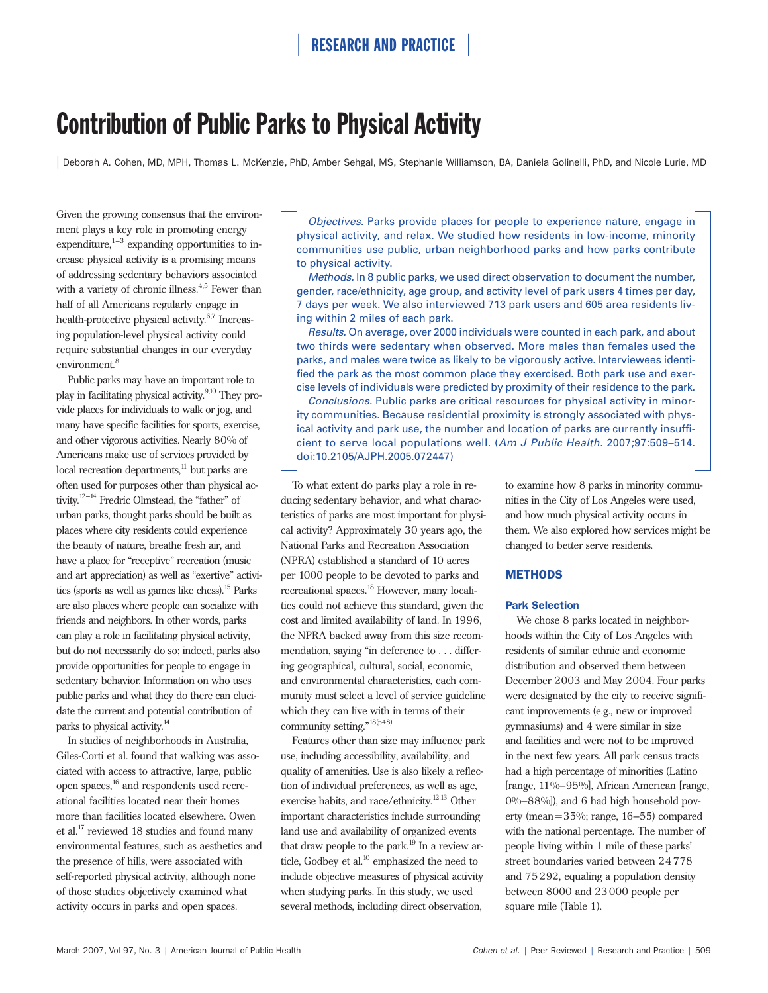# Contribution of Public Parks to Physical Activity

| Deborah A. Cohen, MD, MPH, Thomas L. McKenzie, PhD, Amber Sehgal, MS, Stephanie Williamson, BA, Daniela Golinelli, PhD, and Nicole Lurie, MD

Given the growing consensus that the environment plays a key role in promoting energy expenditure, $1-3$  expanding opportunities to increase physical activity is a promising means of addressing sedentary behaviors associated with a variety of chronic illness. $4,5$  Fewer than half of all Americans regularly engage in health-protective physical activity. $6,7$  Increasing population-level physical activity could require substantial changes in our everyday environment.<sup>8</sup>

Public parks may have an important role to play in facilitating physical activity.<sup>9,10</sup> They provide places for individuals to walk or jog, and many have specific facilities for sports, exercise, and other vigorous activities. Nearly 80% of Americans make use of services provided by local recreation departments,<sup>11</sup> but parks are often used for purposes other than physical activity.<sup>12–14</sup> Fredric Olmstead, the "father" of urban parks, thought parks should be built as places where city residents could experience the beauty of nature, breathe fresh air, and have a place for "receptive" recreation (music and art appreciation) as well as "exertive" activities (sports as well as games like chess).<sup>15</sup> Parks are also places where people can socialize with friends and neighbors. In other words, parks can play a role in facilitating physical activity, but do not necessarily do so; indeed, parks also provide opportunities for people to engage in sedentary behavior. Information on who uses public parks and what they do there can elucidate the current and potential contribution of parks to physical activity.<sup>14</sup>

In studies of neighborhoods in Australia, Giles-Corti et al. found that walking was associated with access to attractive, large, public open spaces,<sup>16</sup> and respondents used recreational facilities located near their homes more than facilities located elsewhere. Owen et al.17 reviewed 18 studies and found many environmental features, such as aesthetics and the presence of hills, were associated with self-reported physical activity, although none of those studies objectively examined what activity occurs in parks and open spaces.

*Objectives.* Parks provide places for people to experience nature, engage in physical activity, and relax. We studied how residents in low-income, minority communities use public, urban neighborhood parks and how parks contribute to physical activity.

*Methods.* In 8 public parks, we used direct observation to document the number, gender, race/ethnicity, age group, and activity level of park users 4 times per day, 7 days per week. We also interviewed 713 park users and 605 area residents living within 2 miles of each park.

*Results.* On average, over 2000 individuals were counted in each park, and about two thirds were sedentary when observed. More males than females used the parks, and males were twice as likely to be vigorously active. Interviewees identified the park as the most common place they exercised. Both park use and exercise levels of individuals were predicted by proximity of their residence to the park.

*Conclusions.* Public parks are critical resources for physical activity in minority communities. Because residential proximity is strongly associated with physical activity and park use, the number and location of parks are currently insufficient to serve local populations well. (*Am J Public Health.* 2007;97:509–514. doi:10.2105/AJPH.2005.072447)

To what extent do parks play a role in reducing sedentary behavior, and what characteristics of parks are most important for physical activity? Approximately 30 years ago, the National Parks and Recreation Association (NPRA) established a standard of 10 acres per 1000 people to be devoted to parks and recreational spaces.<sup>18</sup> However, many localities could not achieve this standard, given the cost and limited availability of land. In 1996, the NPRA backed away from this size recommendation, saying "in deference to . . . differing geographical, cultural, social, economic, and environmental characteristics, each community must select a level of service guideline which they can live with in terms of their community setting."18(p48)

Features other than size may influence park use, including accessibility, availability, and quality of amenities. Use is also likely a reflection of individual preferences, as well as age, exercise habits, and race/ethnicity.<sup>12,13</sup> Other important characteristics include surrounding land use and availability of organized events that draw people to the park. $^{19}$  In a review article, Godbey et al.<sup>10</sup> emphasized the need to include objective measures of physical activity when studying parks. In this study, we used several methods, including direct observation,

to examine how 8 parks in minority communities in the City of Los Angeles were used, and how much physical activity occurs in them. We also explored how services might be changed to better serve residents.

### METHODS

#### Park Selection

We chose 8 parks located in neighborhoods within the City of Los Angeles with residents of similar ethnic and economic distribution and observed them between December 2003 and May 2004. Four parks were designated by the city to receive significant improvements (e.g., new or improved gymnasiums) and 4 were similar in size and facilities and were not to be improved in the next few years. All park census tracts had a high percentage of minorities (Latino [range, 11%–95%], African American [range, 0%–88%]), and 6 had high household poverty (mean=35%; range, 16–55) compared with the national percentage. The number of people living within 1 mile of these parks' street boundaries varied between 24778 and 75292, equaling a population density between 8000 and 23000 people per square mile (Table 1).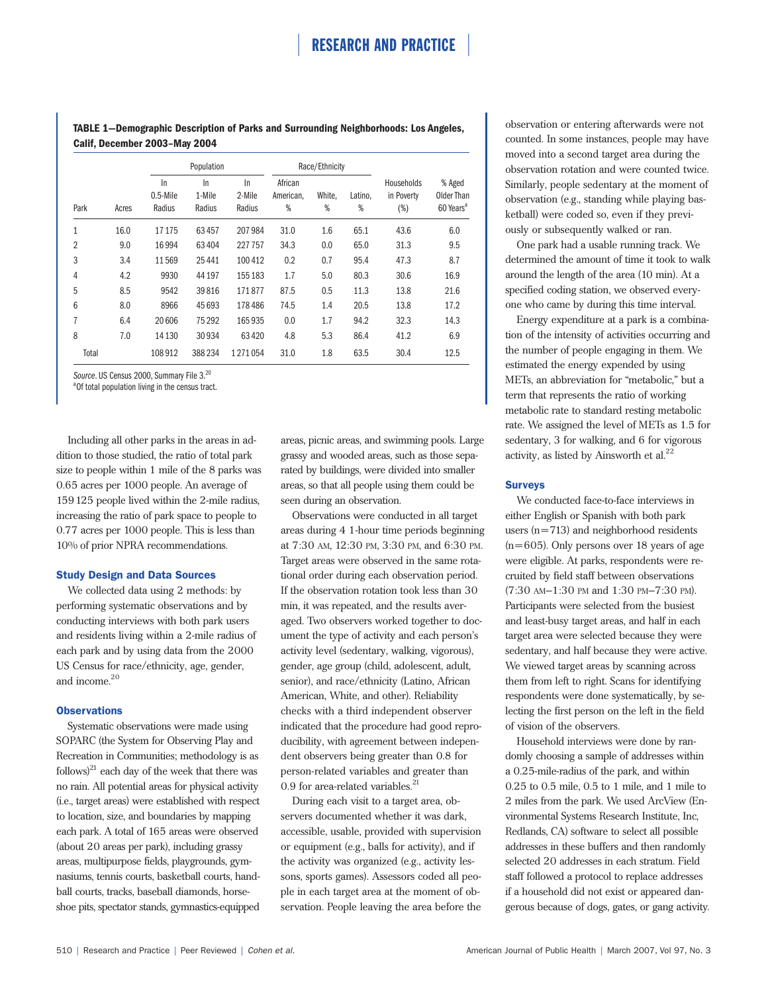**TABLE 1—Demographic Description of Parks and Surrounding Neighborhoods: Los Angeles, Calif, December 2003–May 2004**

|                |       | Population                  |                        |                        | Race/Ethnicity            |             |              |                                 |                                               |
|----------------|-------|-----------------------------|------------------------|------------------------|---------------------------|-------------|--------------|---------------------------------|-----------------------------------------------|
| Park           | Acres | In<br>$0.5$ -Mile<br>Radius | In<br>1-Mile<br>Radius | In<br>2-Mile<br>Radius | African<br>American,<br>% | White.<br>% | Latino,<br>% | Households<br>in Poverty<br>(%) | % Aged<br>Older Than<br>60 Years <sup>a</sup> |
| $\mathbf{1}$   | 16.0  | 17175                       | 63457                  | 207984                 | 31.0                      | 1.6         | 65.1         | 43.6                            | 6.0                                           |
| $\overline{2}$ | 9.0   | 16994                       | 63404                  | 227757                 | 34.3                      | 0.0         | 65.0         | 31.3                            | 9.5                                           |
| 3              | 3.4   | 11569                       | 25 4 41                | 100 412                | 0.2                       | 0.7         | 95.4         | 47.3                            | 8.7                                           |
| 4              | 4.2   | 9930                        | 44 197                 | 155 183                | 1.7                       | 5.0         | 80.3         | 30.6                            | 16.9                                          |
| 5              | 8.5   | 9542                        | 39816                  | 171877                 | 87.5                      | 0.5         | 11.3         | 13.8                            | 21.6                                          |
| 6              | 8.0   | 8966                        | 45 693                 | 178 486                | 74.5                      | 1.4         | 20.5         | 13.8                            | 17.2                                          |
| 7              | 6.4   | 20 60 6                     | 75 292                 | 165935                 | 0.0                       | 1.7         | 94.2         | 32.3                            | 14.3                                          |
| 8              | 7.0   | 14 130                      | 30934                  | 63420                  | 4.8                       | 5.3         | 86.4         | 41.2                            | 6.9                                           |
| Total          |       | 108912                      | 388234                 | 1 271 054              | 31.0                      | 1.8         | 63.5         | 30.4                            | 12.5                                          |

Source. US Census 2000, Summary File 3.<sup>20</sup>

<sup>a</sup> Of total population living in the census tract.

Including all other parks in the areas in addition to those studied, the ratio of total park size to people within 1 mile of the 8 parks was 0.65 acres per 1000 people. An average of 159125 people lived within the 2-mile radius, increasing the ratio of park space to people to 0.77 acres per 1000 people. This is less than 10% of prior NPRA recommendations.

#### Study Design and Data Sources

We collected data using 2 methods: by performing systematic observations and by conducting interviews with both park users and residents living within a 2-mile radius of each park and by using data from the 2000 US Census for race/ethnicity, age, gender, and income.<sup>20</sup>

#### **Observations**

Systematic observations were made using SOPARC (the System for Observing Play and Recreation in Communities; methodology is as follows) $^{21}$  each day of the week that there was no rain. All potential areas for physical activity (i.e., target areas) were established with respect to location, size, and boundaries by mapping each park. A total of 165 areas were observed (about 20 areas per park), including grassy areas, multipurpose fields, playgrounds, gymnasiums, tennis courts, basketball courts, handball courts, tracks, baseball diamonds, horseshoe pits, spectator stands, gymnastics-equipped

areas, picnic areas, and swimming pools. Large grassy and wooded areas, such as those separated by buildings, were divided into smaller areas, so that all people using them could be seen during an observation.

Observations were conducted in all target areas during 4 1-hour time periods beginning at 7:30 AM, 12:30 PM, 3:30 PM, and 6:30 PM. Target areas were observed in the same rotational order during each observation period. If the observation rotation took less than 30 min, it was repeated, and the results averaged. Two observers worked together to document the type of activity and each person's activity level (sedentary, walking, vigorous), gender, age group (child, adolescent, adult, senior), and race/ethnicity (Latino, African American, White, and other). Reliability checks with a third independent observer indicated that the procedure had good reproducibility, with agreement between independent observers being greater than 0.8 for person-related variables and greater than 0.9 for area-related variables. $^{21}$ 

During each visit to a target area, observers documented whether it was dark, accessible, usable, provided with supervision or equipment (e.g., balls for activity), and if the activity was organized (e.g., activity lessons, sports games). Assessors coded all people in each target area at the moment of observation. People leaving the area before the observation or entering afterwards were not counted. In some instances, people may have moved into a second target area during the observation rotation and were counted twice. Similarly, people sedentary at the moment of observation (e.g., standing while playing basketball) were coded so, even if they previously or subsequently walked or ran.

One park had a usable running track. We determined the amount of time it took to walk around the length of the area (10 min). At a specified coding station, we observed everyone who came by during this time interval.

Energy expenditure at a park is a combination of the intensity of activities occurring and the number of people engaging in them. We estimated the energy expended by using METs, an abbreviation for "metabolic," but a term that represents the ratio of working metabolic rate to standard resting metabolic rate. We assigned the level of METs as 1.5 for sedentary, 3 for walking, and 6 for vigorous activity, as listed by Ainsworth et al.<sup>22</sup>

#### Surveys

We conducted face-to-face interviews in either English or Spanish with both park users (n=713) and neighborhood residents (n=605). Only persons over 18 years of age were eligible. At parks, respondents were recruited by field staff between observations (7:30 AM–1:30 PM and 1:30 PM–7:30 PM). Participants were selected from the busiest and least-busy target areas, and half in each target area were selected because they were sedentary, and half because they were active. We viewed target areas by scanning across them from left to right. Scans for identifying respondents were done systematically, by selecting the first person on the left in the field of vision of the observers.

Household interviews were done by randomly choosing a sample of addresses within a 0.25-mile-radius of the park, and within 0.25 to 0.5 mile, 0.5 to 1 mile, and 1 mile to 2 miles from the park. We used ArcView (Environmental Systems Research Institute, Inc, Redlands, CA) software to select all possible addresses in these buffers and then randomly selected 20 addresses in each stratum. Field staff followed a protocol to replace addresses if a household did not exist or appeared dangerous because of dogs, gates, or gang activity.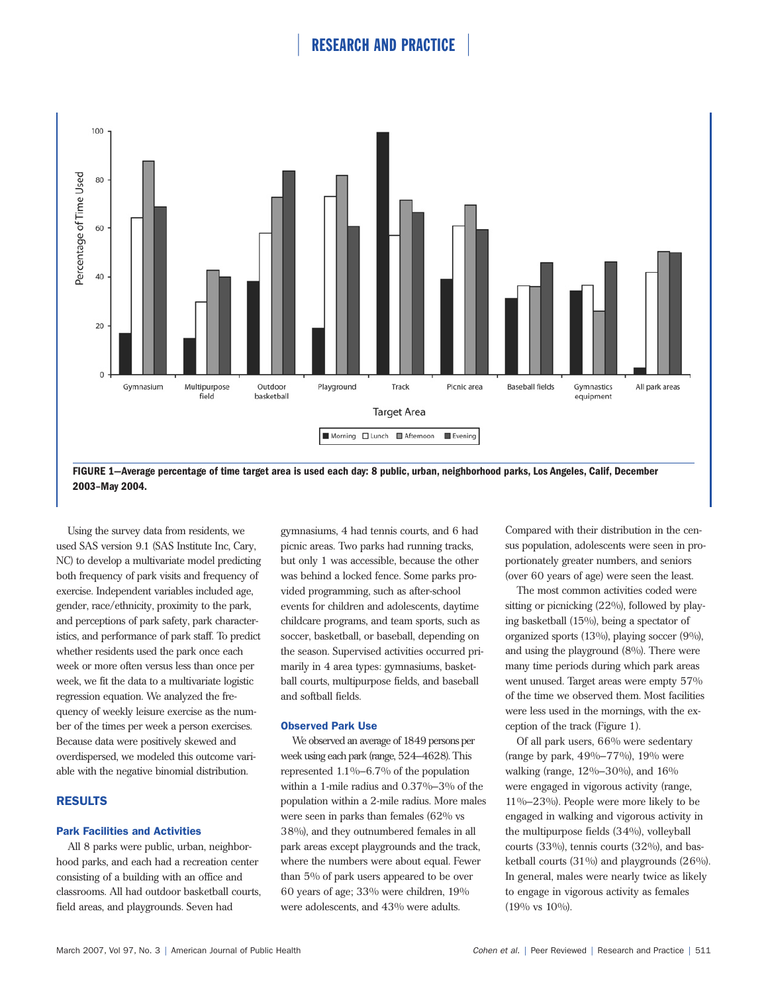

**FIGURE 1—Average percentage of time target area is used each day: 8 public, urban, neighborhood parks, Los Angeles, Calif, December 2003–May 2004.**

Using the survey data from residents, we used SAS version 9.1 (SAS Institute Inc, Cary, NC) to develop a multivariate model predicting both frequency of park visits and frequency of exercise. Independent variables included age, gender, race/ethnicity, proximity to the park, and perceptions of park safety, park characteristics, and performance of park staff. To predict whether residents used the park once each week or more often versus less than once per week, we fit the data to a multivariate logistic regression equation. We analyzed the frequency of weekly leisure exercise as the number of the times per week a person exercises. Because data were positively skewed and overdispersed, we modeled this outcome variable with the negative binomial distribution.

# RESULTS

#### Park Facilities and Activities

All 8 parks were public, urban, neighborhood parks, and each had a recreation center consisting of a building with an office and classrooms. All had outdoor basketball courts, field areas, and playgrounds. Seven had

gymnasiums, 4 had tennis courts, and 6 had picnic areas. Two parks had running tracks, but only 1 was accessible, because the other was behind a locked fence. Some parks provided programming, such as after-school events for children and adolescents, daytime childcare programs, and team sports, such as soccer, basketball, or baseball, depending on the season. Supervised activities occurred primarily in 4 area types: gymnasiums, basketball courts, multipurpose fields, and baseball and softball fields.

### Observed Park Use

We observed an average of 1849 persons per week using each park (range, 524–4628). This represented 1.1%–6.7% of the population within a 1-mile radius and 0.37%–3% of the population within a 2-mile radius. More males were seen in parks than females (62% vs 38%), and they outnumbered females in all park areas except playgrounds and the track, where the numbers were about equal. Fewer than 5% of park users appeared to be over 60 years of age; 33% were children, 19% were adolescents, and 43% were adults.

Compared with their distribution in the census population, adolescents were seen in proportionately greater numbers, and seniors (over 60 years of age) were seen the least.

The most common activities coded were sitting or picnicking (22%), followed by playing basketball (15%), being a spectator of organized sports (13%), playing soccer (9%), and using the playground (8%). There were many time periods during which park areas went unused. Target areas were empty 57% of the time we observed them. Most facilities were less used in the mornings, with the exception of the track (Figure 1).

Of all park users, 66% were sedentary (range by park, 49%–77%), 19% were walking (range, 12%–30%), and 16% were engaged in vigorous activity (range, 11%–23%). People were more likely to be engaged in walking and vigorous activity in the multipurpose fields (34%), volleyball courts (33%), tennis courts (32%), and basketball courts (31%) and playgrounds (26%). In general, males were nearly twice as likely to engage in vigorous activity as females (19% vs 10%).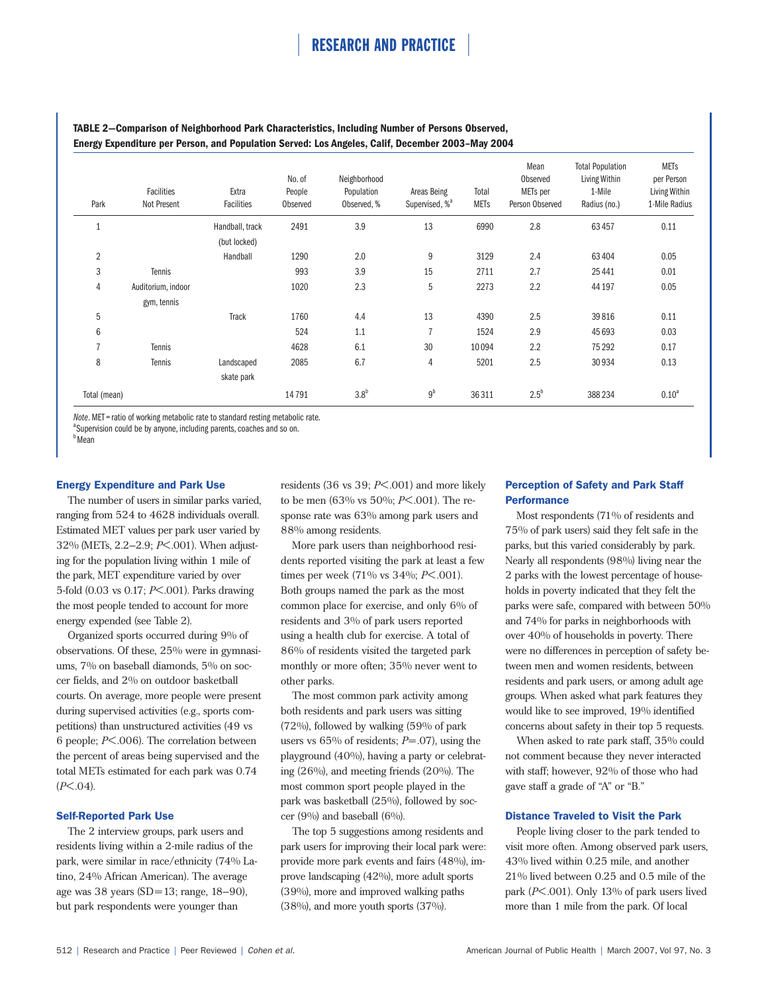| Park           | Facilities<br>Not Present | Extra<br>Facilities | No. of<br>People<br>Observed | Neighborhood<br>Population<br>Observed, % | Areas Being<br>Supervised, % <sup>a</sup> | Total<br><b>METs</b> | Mean<br>Observed<br>METs per<br>Person Observed | <b>Total Population</b><br>Living Within<br>1-Mile<br>Radius (no.) | <b>METs</b><br>per Person<br>Living Within<br>1-Mile Radius |
|----------------|---------------------------|---------------------|------------------------------|-------------------------------------------|-------------------------------------------|----------------------|-------------------------------------------------|--------------------------------------------------------------------|-------------------------------------------------------------|
|                |                           | Handball, track     | 2491                         | 3.9                                       | 13                                        | 6990                 | 2.8                                             | 63457                                                              | 0.11                                                        |
|                |                           | (but locked)        |                              |                                           |                                           |                      |                                                 |                                                                    |                                                             |
| $\overline{2}$ |                           | Handball            | 1290                         | 2.0                                       | 9                                         | 3129                 | 2.4                                             | 63404                                                              | 0.05                                                        |
| 3              | Tennis                    |                     | 993                          | 3.9                                       | 15                                        | 2711                 | 2.7                                             | 25 4 41                                                            | 0.01                                                        |
| 4              | Auditorium, indoor        |                     | 1020                         | 2.3                                       | 5                                         | 2273                 | 2.2                                             | 44 197                                                             | 0.05                                                        |
|                | gym, tennis               |                     |                              |                                           |                                           |                      |                                                 |                                                                    |                                                             |
| 5              |                           | <b>Track</b>        | 1760                         | 4.4                                       | 13                                        | 4390                 | 2.5                                             | 39816                                                              | 0.11                                                        |
| 6              |                           |                     | 524                          | 1.1                                       | $\overline{7}$                            | 1524                 | 2.9                                             | 45 693                                                             | 0.03                                                        |
| $\overline{7}$ | Tennis                    |                     | 4628                         | 6.1                                       | 30                                        | 10094                | 2.2                                             | 75 29 2                                                            | 0.17                                                        |
| 8              | Tennis                    | Landscaped          | 2085                         | 6.7                                       | 4                                         | 5201                 | 2.5                                             | 30934                                                              | 0.13                                                        |
|                |                           | skate park          |                              |                                           |                                           |                      |                                                 |                                                                    |                                                             |
| Total (mean)   |                           |                     | 14791                        | 3.8 <sup>b</sup>                          | $9^b$                                     | 36 311               | $2.5^b$                                         | 388 234                                                            | 0.10 <sup>a</sup>                                           |

# **TABLE 2—Comparison of Neighborhood Park Characteristics, Including Number of Persons Observed, Energy Expenditure per Person, and Population Served: Los Angeles, Calif, December 2003–May 2004**

*Note*. MET = ratio of working metabolic rate to standard resting metabolic rate.

<sup>a</sup>Supervision could be by anyone, including parents, coaches and so on.

<sup>b</sup>Mean

### Energy Expenditure and Park Use

The number of users in similar parks varied, ranging from 524 to 4628 individuals overall. Estimated MET values per park user varied by 32% (METs, 2.2–2.9; *P*<.001). When adjusting for the population living within 1 mile of the park, MET expenditure varied by over 5-fold (0.03 vs 0.17; *P*<.001). Parks drawing the most people tended to account for more energy expended (see Table 2).

Organized sports occurred during 9% of observations. Of these, 25% were in gymnasiums, 7% on baseball diamonds, 5% on soccer fields, and 2% on outdoor basketball courts. On average, more people were present during supervised activities (e.g., sports competitions) than unstructured activities (49 vs 6 people; *P*<.006). The correlation between the percent of areas being supervised and the total METs estimated for each park was 0.74 (*P*<.04).

### Self-Reported Park Use

The 2 interview groups, park users and residents living within a 2-mile radius of the park, were similar in race/ethnicity (74% Latino, 24% African American). The average age was 38 years (SD=13; range, 18–90), but park respondents were younger than

residents (36 vs 39; *P*<.001) and more likely to be men (63% vs 50%; *P*<.001). The response rate was 63% among park users and 88% among residents.

More park users than neighborhood residents reported visiting the park at least a few times per week (71% vs 34%; *P*<.001). Both groups named the park as the most common place for exercise, and only 6% of residents and 3% of park users reported using a health club for exercise. A total of 86% of residents visited the targeted park monthly or more often; 35% never went to other parks.

The most common park activity among both residents and park users was sitting (72%), followed by walking (59% of park users vs 65% of residents; *P*=.07), using the playground (40%), having a party or celebrating  $(26\%)$ , and meeting friends  $(20\%)$ . The most common sport people played in the park was basketball (25%), followed by soccer (9%) and baseball (6%).

The top 5 suggestions among residents and park users for improving their local park were: provide more park events and fairs (48%), improve landscaping (42%), more adult sports (39%), more and improved walking paths (38%), and more youth sports (37%).

# Perception of Safety and Park Staff **Performance**

Most respondents (71% of residents and 75% of park users) said they felt safe in the parks, but this varied considerably by park. Nearly all respondents (98%) living near the 2 parks with the lowest percentage of households in poverty indicated that they felt the parks were safe, compared with between 50% and 74% for parks in neighborhoods with over 40% of households in poverty. There were no differences in perception of safety between men and women residents, between residents and park users, or among adult age groups. When asked what park features they would like to see improved, 19% identified concerns about safety in their top 5 requests.

When asked to rate park staff, 35% could not comment because they never interacted with staff; however, 92% of those who had gave staff a grade of "A" or "B."

### Distance Traveled to Visit the Park

People living closer to the park tended to visit more often. Among observed park users, 43% lived within 0.25 mile, and another 21% lived between 0.25 and 0.5 mile of the park (*P*<.001). Only 13% of park users lived more than 1 mile from the park. Of local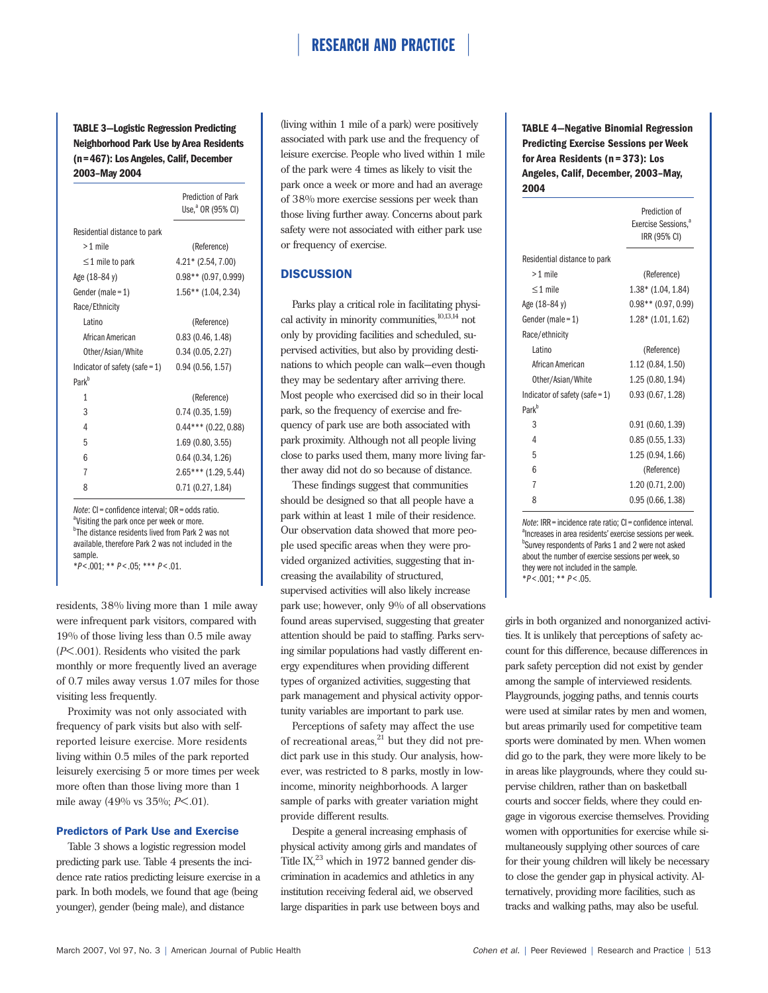**TABLE 3—Logistic Regression Predicting Neighborhood Park Use by Area Residents (n=467): Los Angeles, Calif, December 2003–May 2004**

|                                   | <b>Prediction of Park</b><br>Use, <sup>a</sup> OR (95% CI) |  |  |  |  |
|-----------------------------------|------------------------------------------------------------|--|--|--|--|
| Residential distance to park      |                                                            |  |  |  |  |
| $>1$ mile                         | (Reference)                                                |  |  |  |  |
| $\leq$ 1 mile to park             | $4.21*$ (2.54, 7.00)                                       |  |  |  |  |
| Age (18-84 y)                     | $0.98**$ (0.97, 0.999)                                     |  |  |  |  |
| Gender (male = $1$ )              | $1.56**$ (1.04, 2.34)                                      |  |  |  |  |
| Race/Ethnicity                    |                                                            |  |  |  |  |
| l atino                           | (Reference)                                                |  |  |  |  |
| African American                  | 0.83(0.46, 1.48)                                           |  |  |  |  |
| Other/Asian/White                 | 0.34(0.05, 2.27)                                           |  |  |  |  |
| Indicator of safety (safe = $1$ ) | 0.94(0.56, 1.57)                                           |  |  |  |  |
| Park <sup>b</sup>                 |                                                            |  |  |  |  |
| 1                                 | (Reference)                                                |  |  |  |  |
| 3                                 | 0.74(0.35, 1.59)                                           |  |  |  |  |
| 4                                 | $0.44***$ (0.22, 0.88)                                     |  |  |  |  |
| 5                                 | 1.69 (0.80, 3.55)                                          |  |  |  |  |
| 6                                 | 0.64(0.34, 1.26)                                           |  |  |  |  |
| 7                                 | $2.65***(1.29, 5.44)$                                      |  |  |  |  |
| 8                                 | 0.71(0.27, 1.84)                                           |  |  |  |  |

*Note*: CI = confidence interval; OR = odds ratio.

<sup>a</sup>Visiting the park once per week or more. <sup>b</sup>The distance residents lived from Park 2 was not available, therefore Park 2 was not included in the sample.

\**P*<.001; \*\* *P* < .05; \*\*\* *P* < .01.

residents, 38% living more than 1 mile away were infrequent park visitors, compared with 19% of those living less than 0.5 mile away (*P*<.001). Residents who visited the park monthly or more frequently lived an average of 0.7 miles away versus 1.07 miles for those visiting less frequently.

Proximity was not only associated with frequency of park visits but also with selfreported leisure exercise. More residents living within 0.5 miles of the park reported leisurely exercising 5 or more times per week more often than those living more than 1 mile away (49% vs 35%; *P*<.01).

#### Predictors of Park Use and Exercise

Table 3 shows a logistic regression model predicting park use. Table 4 presents the incidence rate ratios predicting leisure exercise in a park. In both models, we found that age (being younger), gender (being male), and distance

(living within 1 mile of a park) were positively associated with park use and the frequency of leisure exercise. People who lived within 1 mile of the park were 4 times as likely to visit the park once a week or more and had an average of 38% more exercise sessions per week than those living further away. Concerns about park safety were not associated with either park use or frequency of exercise.

# **DISCUSSION**

Parks play a critical role in facilitating physical activity in minority communities, $10,13,14$  not only by providing facilities and scheduled, supervised activities, but also by providing destinations to which people can walk—even though they may be sedentary after arriving there. Most people who exercised did so in their local park, so the frequency of exercise and frequency of park use are both associated with park proximity. Although not all people living close to parks used them, many more living farther away did not do so because of distance.

These findings suggest that communities should be designed so that all people have a park within at least 1 mile of their residence. Our observation data showed that more people used specific areas when they were provided organized activities, suggesting that increasing the availability of structured, supervised activities will also likely increase park use; however, only 9% of all observations found areas supervised, suggesting that greater attention should be paid to staffing. Parks serving similar populations had vastly different energy expenditures when providing different types of organized activities, suggesting that park management and physical activity opportunity variables are important to park use.

Perceptions of safety may affect the use of recreational areas, $21$  but they did not predict park use in this study. Our analysis, however, was restricted to 8 parks, mostly in lowincome, minority neighborhoods. A larger sample of parks with greater variation might provide different results.

Despite a general increasing emphasis of physical activity among girls and mandates of Title IX, $^{23}$  which in 1972 banned gender discrimination in academics and athletics in any institution receiving federal aid, we observed large disparities in park use between boys and **TABLE 4—Negative Binomial Regression Predicting Exercise Sessions per Week for Area Residents (n=373): Los Angeles, Calif, December, 2003–May, 2004**

|                              | Prediction of<br>Exercise Sessions, <sup>a</sup><br>IRR (95% CI) |  |  |  |
|------------------------------|------------------------------------------------------------------|--|--|--|
| Residential distance to park |                                                                  |  |  |  |
| $>1$ mile                    | (Reference)                                                      |  |  |  |
| $\leq$ 1 mile                | $1.38*$ (1.04, 1.84)                                             |  |  |  |
| Age (18–84 y)                | $0.98**$ (0.97, 0.99)                                            |  |  |  |
| Gender (male = 1)            | $1.28*$ (1.01, 1.62)                                             |  |  |  |
| Race/ethnicity               |                                                                  |  |  |  |
| <b>Latino</b>                | (Reference)                                                      |  |  |  |
| African American             | 1.12 (0.84, 1.50)                                                |  |  |  |
| Other/Asian/White            | 1.25 (0.80, 1.94)                                                |  |  |  |
| Indicator of safety (safe=1) | 0.93(0.67, 1.28)                                                 |  |  |  |
| Park <sup>b</sup>            |                                                                  |  |  |  |
| 3                            | 0.91(0.60, 1.39)                                                 |  |  |  |
| 4                            | 0.85(0.55, 1.33)                                                 |  |  |  |
| 5                            | 1.25 (0.94, 1.66)                                                |  |  |  |
| 6                            | (Reference)                                                      |  |  |  |
| 7                            | 1.20 (0.71, 2.00)                                                |  |  |  |
| 8                            | 0.95(0.66, 1.38)                                                 |  |  |  |

*Note*: IRR = incidence rate ratio; CI = confidence interval. <sup>a</sup> Increases in area residents' exercise sessions per week. <sup>b</sup>Survey respondents of Parks 1 and 2 were not asked about the number of exercise sessions per week, so they were not included in the sample. \**P* < .001; \*\* *P* < .05.

girls in both organized and nonorganized activities. It is unlikely that perceptions of safety account for this difference, because differences in park safety perception did not exist by gender among the sample of interviewed residents. Playgrounds, jogging paths, and tennis courts were used at similar rates by men and women, but areas primarily used for competitive team sports were dominated by men. When women did go to the park, they were more likely to be in areas like playgrounds, where they could supervise children, rather than on basketball courts and soccer fields, where they could engage in vigorous exercise themselves. Providing women with opportunities for exercise while simultaneously supplying other sources of care for their young children will likely be necessary to close the gender gap in physical activity. Alternatively, providing more facilities, such as tracks and walking paths, may also be useful.